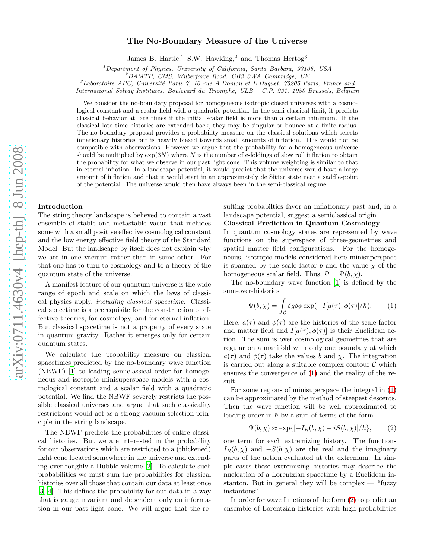# The No-Boundary Measure of the Universe

James B. Hartle,<sup>1</sup> S.W. Hawking,<sup>2</sup> and Thomas Hertog<sup>3</sup>

<sup>1</sup>Department of Physics, University of California, Santa Barbara, 93106, USA  $^{2}$ DAMTP, CMS, Wilberforce Road, CB3 0WA Cambridge, UK

<sup>3</sup>Laboratoire APC, Université Paris 7, 10 rue A.Domon et L.Duquet, 75205 Paris, France and

International Solvay Institutes, Boulevard du Triomphe, ULB – C.P. 231, 1050 Brussels, Belgium

We consider the no-boundary proposal for homogeneous isotropic closed universes with a cosmological constant and a scalar field with a quadratic potential. In the semi-classical limit, it predicts classical behavior at late times if the initial scalar field is more than a certain minimum. If the classical late time histories are extended back, they may be singular or bounce at a finite radius. The no-boundary proposal provides a probability measure on the classical solutions which selects inflationary histories but is heavily biased towards small amounts of inflation. This would not be compatible with observations. However we argue that the probability for a homogeneous universe should be multiplied by  $\exp(3N)$  where N is the number of e-foldings of slow roll inflation to obtain the probability for what we observe in our past light cone. This volume weighting is similar to that in eternal inflation. In a landscape potential, it would predict that the universe would have a large amount of inflation and that it would start in an approximately de Sitter state near a saddle-point of the potential. The universe would then have always been in the semi-classical regime.

#### Introduction

The string theory landscape is believed to contain a vast ensemble of stable and metastable vacua that includes some with a small positive effective cosmological constant and the low energy effective field theory of the Standard Model. But the landscape by itself does not explain why we are in one vacuum rather than in some other. For that one has to turn to cosmology and to a theory of the quantum state of the universe.

A manifest feature of our quantum universe is the wide range of epoch and scale on which the laws of classical physics apply, including classical spacetime. Classical spacetime is a prerequisite for the construction of effective theories, for cosmology, and for eternal inflation. But classical spacetime is not a property of every state in quantum gravity. Rather it emerges only for certain quantum states.

We calculate the probability measure on classical spacetimes predicted by the no-boundary wave function (NBWF) [\[1](#page-3-0)] to leading semiclassical order for homogeneous and isotropic minisuperspace models with a cosmological constant and a scalar field with a quadratic potential. We find the NBWF severely restricts the possible classical universes and argue that such classicality restrictions would act as a strong vacuum selection principle in the string landscape.

The NBWF predicts the probabilities of entire classical histories. But we are interested in the probability for our observations which are restricted to a (thickened) light cone located somewhere in the universe and extending over roughly a Hubble volume [\[2\]](#page-3-1). To calculate such probabilities we must sum the probabilities for classical histories over all those that contain our data at least once [\[3,](#page-3-2) [4\]](#page-3-3). This defines the probability for our data in a way that is gauge invariant and dependent only on information in our past light cone. We will argue that the resulting probabilties favor an inflationary past and, in a landscape potential, suggest a semiclassical origin.

### Classical Prediction in Quantum Cosmology

In quantum cosmology states are represented by wave functions on the superspace of three-geometries and spatial matter field configurations. For the homogeneous, isotropic models considered here minisuperspace is spanned by the scale factor b and the value  $\chi$  of the homogeneous scalar field. Thus,  $\Psi = \Psi(b, \chi)$ .

The no-boundary wave function [\[1\]](#page-3-0) is defined by the sum-over-histories

<span id="page-0-0"></span>
$$
\Psi(b,\chi) = \int_{\mathcal{C}} \delta g \delta \phi \exp(-I[a(\tau), \phi(\tau)]/\hbar). \tag{1}
$$

Here,  $a(\tau)$  and  $\phi(\tau)$  are the histories of the scale factor and matter field and  $I[a(\tau), \phi(\tau)]$  is their Euclidean action. The sum is over cosmological geometries that are regular on a manifold with only one boundary at which  $a(\tau)$  and  $\phi(\tau)$  take the values b and  $\chi$ . The integration is carried out along a suitable complex contour  $\mathcal C$  which ensures the convergence of [\(1\)](#page-0-0) and the reality of the result.

For some regions of minisuperspace the integral in [\(1\)](#page-0-0) can be approximated by the method of steepest descents. Then the wave function will be well approximated to leading order in  $\hbar$  by a sum of terms of the form

<span id="page-0-1"></span>
$$
\Psi(b,\chi) \approx \exp\{[-I_R(b,\chi) + iS(b,\chi)]/\hbar\},\qquad(2)
$$

one term for each extremizing history. The functions  $I_R(b,\chi)$  and  $-S(b,\chi)$  are the real and the imaginary parts of the action evaluated at the extremum. In simple cases these extremizing histories may describe the nucleation of a Lorentzian spacetime by a Euclidean instanton. But in general they will be complex — "fuzzy" instantons".

In order for wave functions of the form [\(2\)](#page-0-1) to predict an ensemble of Lorentzian histories with high probabilities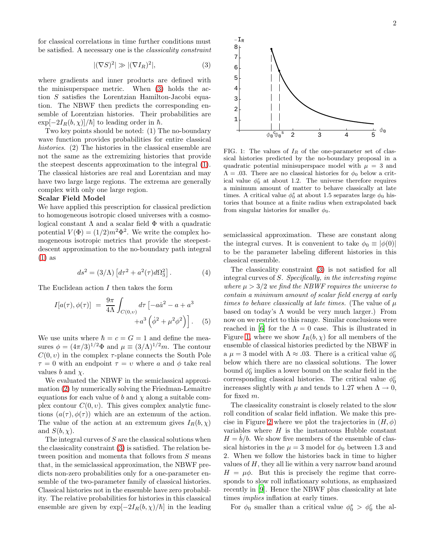for classical correlations in time further conditions must be satisfied. A necessary one is the classicality constraint

<span id="page-1-0"></span>
$$
|(\nabla S)^2| \gg |(\nabla I_R)^2|,\tag{3}
$$

where gradients and inner products are defined with the minisuperspace metric. When [\(3\)](#page-1-0) holds the action S satisfies the Lorentzian Hamilton-Jacobi equation. The NBWF then predicts the corresponding ensemble of Lorentzian histories. Their probabilities are  $\exp[-2I_R(b,\chi)]/\hbar$  to leading order in  $\hbar$ .

Two key points should be noted: (1) The no-boundary wave function provides probabilities for entire classical histories. (2) The histories in the classical ensemble are not the same as the extremizing histories that provide the steepest descents approximation to the integral [\(1\)](#page-0-0). The classical histories are real and Lorentzian and may have two large large regions. The extrema are generally complex with only one large region.

# Scalar Field Model

We have applied this prescription for classical prediction to homogeneous isotropic closed universes with a cosmological constant Λ and a scalar field Φ with a quadratic potential  $V(\Phi) = (1/2)m^2\Phi^2$ . We write the complex homogeneous isotropic metrics that provide the steepestdescent approximation to the no-boundary path integral [\(1\)](#page-0-0) as

$$
ds^2 = (3/\Lambda) \left[ d\tau^2 + a^2(\tau) d\Omega_3^2 \right]. \tag{4}
$$

The Euclidean action  $I$  then takes the form

$$
I[a(\tau), \phi(\tau)] = \frac{9\pi}{4\Lambda} \int_{C(0,\nu)} d\tau \left[ -a\dot{a}^2 - a + a^3 \right. \left. + a^3 \left( \dot{\phi}^2 + \mu^2 \phi^2 \right) \right]. \tag{5}
$$

We use units where  $\hbar = c = G = 1$  and define the measures  $\phi = (4\pi/3)^{1/2} \Phi$  and  $\mu \equiv (3/\Lambda)^{1/2} m$ . The contour  $C(0, v)$  in the complex  $\tau$ -plane connects the South Pole  $\tau = 0$  with an endpoint  $\tau = v$  where a and  $\phi$  take real values b and  $\chi$ .

We evaluated the NBWF in the semiclassical approximation  $(2)$  by numerically solving the Friedman-Lemaître equations for each value of b and  $\chi$  along a suitable complex contour  $C(0, v)$ . This gives complex analytic functions  $(a(\tau), \phi(\tau))$  which are an extemum of the action. The value of the action at an extremum gives  $I_R(b,\chi)$ and  $S(b,\chi)$ .

The integral curves of  $S$  are the classical solutions when the classicality constraint [\(3\)](#page-1-0) is satisfied. The relation between position and momenta that follows from S means that, in the semiclassical approximation, the NBWF predicts non-zero probabilities only for a one-parameter ensemble of the two-parameter family of classical histories. Classical histories not in the ensemble have zero probability. The relative probabilities for histories in this classical ensemble are given by  $\exp[-2I_R(b,\chi)/\hbar]$  in the leading



<span id="page-1-1"></span>FIG. 1: The values of  $I_R$  of the one-parameter set of classical histories predicted by the no-boundary proposal in a quadratic potential minisuperspace model with  $\mu = 3$  and  $\Lambda = .03$ . There are no classical histories for  $\phi_0$  below a critical value  $\phi_0^c$  at about 1.2. The universe therefore requires a minimum amount of matter to behave classically at late times. A critical value  $\phi_0^s$  at about 1.5 separates large  $\phi_0$  histories that bounce at a finite radius when extrapolated back from singular histories for smaller  $\phi_0$ .

semiclassical approximation. These are constant along the integral curves. It is convenient to take  $\phi_0 \equiv |\phi(0)|$ to be the parameter labeling different histories in this classical ensemble.

The classicality constraint [\(3\)](#page-1-0) is not satisfied for all integral curves of S. Specifically, in the interesting regime where  $\mu > 3/2$  we find the NBWF requires the universe to contain a minimum amount of scalar field energy at early times to behave classically at late times. (The value of  $\mu$ based on today's  $\Lambda$  would be very much larger.) From now on we restrict to this range. Similar conclusions were reached in [\[6\]](#page-3-4) for the  $\Lambda = 0$  case. This is illustrated in Figure [1,](#page-1-1) where we show  $I_R(b, \chi)$  for all members of the ensemble of classical histories predicted by the NBWF in a  $\mu = 3$  model with  $\Lambda \approx .03$ . There is a critical value  $\phi_0^c$ below which there are no classical solutions. The lower bound  $\phi_0^c$  implies a lower bound on the scalar field in the corresponding classical histories. The critical value  $\phi_0^c$ increases slightly with  $\mu$  and tends to 1.27 when  $\Lambda \to 0$ , for fixed m.

The classicality constraint is closely related to the slow roll condition of scalar field inflation. We make this pre-cise in Figure [2](#page-2-0) where we plot the trajectories in  $(H, \phi)$ variables where  $H$  is the instanteous Hubble constant  $H = b/b$ . We show five members of the ensemble of classical histories in the  $\mu = 3$  model for  $\phi_0$  between 1.3 and 2. When we follow the histories back in time to higher values of H, they all lie within a very narrow band around  $H = \mu \phi$ . But this is precisely the regime that corresponds to slow roll inflationary solutions, as emphasized recently in [\[9](#page-3-5)]. Hence the NBWF plus classicality at late times implies inflation at early times.

For  $\phi_0$  smaller than a critical value  $\phi_0^s > \phi_0^c$  the al-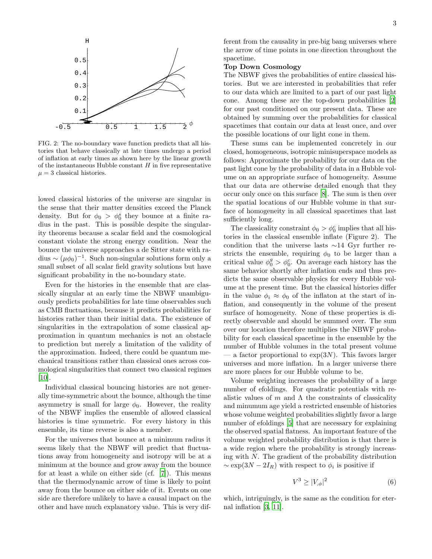

<span id="page-2-0"></span>FIG. 2: The no-boundary wave function predicts that all histories that behave classically at late times undergo a period of inflation at early times as shown here by the linear growth of the instantaneous Hubble constant  $H$  in five representative  $\mu = 3$  classical histories.

lowed classical histories of the universe are singular in the sense that their matter densities exceed the Planck density. But for  $\phi_0 > \phi_0^s$  they bounce at a finite radius in the past. This is possible despite the singularity theorems because a scalar field and the cosmological constant violate the strong energy condition. Near the bounce the universe approaches a de Sitter state with radius ~  $(\mu \phi_0)^{-1}$ . Such non-singular solutions form only a small subset of all scalar field gravity solutions but have significant probability in the no-boundary state.

Even for the histories in the ensemble that are classically singular at an early time the NBWF unambiguously predicts probabilities for late time observables such as CMB fluctuations, because it predicts probabilities for histories rather than their initial data. The existence of singularities in the extrapolation of some classical approximation in quantum mechanics is not an obstacle to prediction but merely a limitation of the validity of the approximation. Indeed, there could be quantum mechanical transitions rather than classical ones across cosmological singularities that connect two classical regimes [\[10\]](#page-3-6).

Individual classical bouncing histories are not generally time-symmetric about the bounce, although the time asymmetry is small for large  $\phi_0$ . However, the reality of the NBWF implies the ensemble of allowed classical histories is time symmetric. For every history in this ensemble, its time reverse is also a member.

For the universes that bounce at a minimum radius it seems likely that the NBWF will predict that fluctuations away from homogeneity and isotropy will be at a minimum at the bounce and grow away from the bounce for at least a while on either side (cf. [\[7](#page-3-7)]). This means that the thermodynamic arrow of time is likely to point away from the bounce on either side of it. Events on one side are therefore unlikely to have a causal impact on the other and have much explanatory value. This is very dif-

ferent from the causality in pre-big bang universes where the arrow of time points in one direction throughout the spacetime.

## Top Down Cosmology

The NBWF gives the probabilities of entire classical histories. But we are interested in probabilities that refer to our data which are limited to a part of our past light cone. Among these are the top-down probabilities [\[2](#page-3-1)] for our past conditioned on our present data. These are obtained by summing over the probabilities for classical spacetimes that contain our data at least once, and over the possible locations of our light cone in them.

These sums can be implemented concretely in our closed, homogeneous, isotropic minisuperspace models as follows: Approximate the probability for our data on the past light cone by the probability of data in a Hubble volume on an appropriate surface of homogeneity. Assume that our data are otherwise detailed enough that they occur only once on this surface [\[8](#page-3-8)]. The sum is then over the spatial locations of our Hubble volume in that surface of homogeneity in all classical spacetimes that last sufficiently long.

The classicality constraint  $\phi_0 > \phi_0^c$  implies that all histories in the classical ensemble inflate (Figure 2). The condition that the universe lasts ∼14 Gyr further restricts the ensemble, requiring  $\phi_0$  to be larger than a critical value  $\phi_0^g > \phi_0^c$ . On average each history has the same behavior shortly after inflation ends and thus predicts the same observable physics for every Hubble volume at the present time. But the classical histories differ in the value  $\phi_i \approx \phi_0$  of the inflaton at the start of inflation, and consequently in the volume of the present surface of homogeneity. None of these properties is directly observable and should be summed over. The sum over our location therefore multiplies the NBWF probability for each classical spacetime in the ensemble by the number of Hubble volumes in the total present volume — a factor proportional to  $\exp(3N)$ . This favors larger universes and more inflation. In a larger universe there are more places for our Hubble volume to be.

Volume weighting increases the probability of a large number of efoldings. For quadratic potentials with realistic values of m and  $\Lambda$  the constraints of classicality and minumum age yield a restricted ensemble of histories whose volume weighted probabilities slightly favor a large number of efoldings [\[5\]](#page-3-9) that are necessary for explaining the observed spatial flatness. An important feature of the volume weighted probability distribution is that there is a wide region where the probability is strongly increasing with N. The gradient of the probability distribution  $\sim \exp(3N - 2I_R)$  with respect to  $\phi_i$  is positive if

<span id="page-2-1"></span>
$$
V^3 \ge |V_{,\phi}|^2 \tag{6}
$$

which, intriguingly, is the same as the condition for eternal inflation [\[3,](#page-3-2) [11\]](#page-3-10).